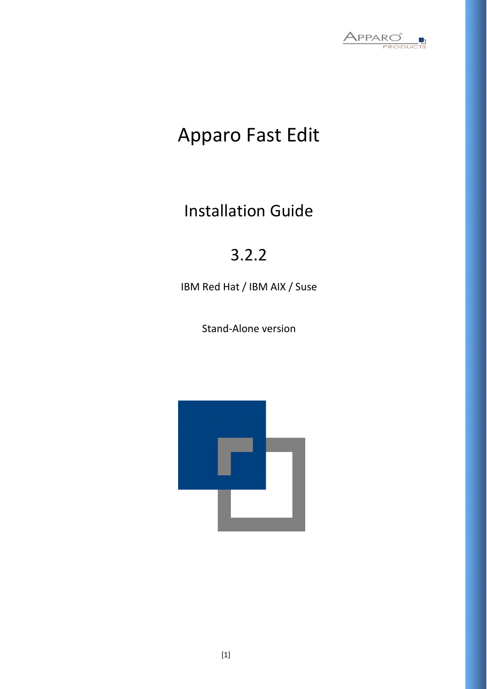

# Apparo Fast Edit

Installation Guide

# 3.2.2

IBM Red Hat / IBM AIX / Suse

Stand-Alone version

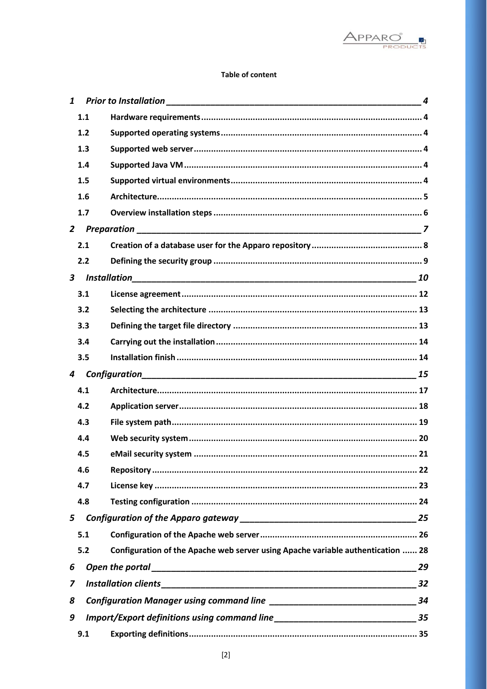

### **Table of content**

| $\mathbf{1}$            |       |                                                                                 |          |
|-------------------------|-------|---------------------------------------------------------------------------------|----------|
|                         | 1.1   |                                                                                 |          |
|                         | $1.2$ |                                                                                 |          |
|                         | 1.3   |                                                                                 |          |
|                         | 1.4   |                                                                                 |          |
|                         | 1.5   |                                                                                 |          |
|                         | 1.6   |                                                                                 |          |
|                         | 1.7   |                                                                                 |          |
| $\overline{2}$          |       |                                                                                 |          |
|                         | 2.1   |                                                                                 |          |
|                         | 2.2   |                                                                                 |          |
| $\overline{\mathbf{3}}$ |       | <b>Installation</b>                                                             |          |
|                         | 3.1   |                                                                                 |          |
|                         | 3.2   |                                                                                 |          |
|                         | 3.3   |                                                                                 |          |
|                         | 3.4   |                                                                                 |          |
|                         | 3.5   |                                                                                 |          |
|                         |       |                                                                                 |          |
| 4                       |       | Configuration                                                                   |          |
|                         | 4.1   |                                                                                 |          |
|                         | 4.2   |                                                                                 |          |
|                         | 4.3   |                                                                                 |          |
|                         | 4.4   |                                                                                 |          |
|                         | 4.5   |                                                                                 |          |
|                         | 4.6   |                                                                                 |          |
|                         | 4.7   |                                                                                 |          |
|                         | 4.8   |                                                                                 |          |
| 5                       |       |                                                                                 |          |
|                         | 5.1   |                                                                                 |          |
|                         | 5.2   | Configuration of the Apache web server using Apache variable authentication  28 |          |
| 6                       |       |                                                                                 |          |
| 7                       |       |                                                                                 |          |
| 8                       |       |                                                                                 | 29<br>34 |
| 9                       |       |                                                                                 |          |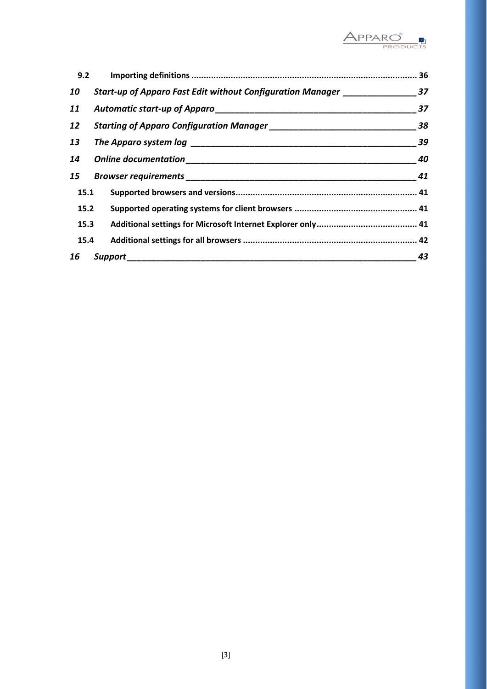

| 9.2  |                                                                                 |    |
|------|---------------------------------------------------------------------------------|----|
| 10   | Start-up of Apparo Fast Edit without Configuration Manager __________________37 |    |
| 11   |                                                                                 | 37 |
| 12   |                                                                                 | 38 |
| 13   |                                                                                 | 39 |
| 14   |                                                                                 | 40 |
| 15   |                                                                                 | 41 |
| 15.1 |                                                                                 |    |
| 15.2 |                                                                                 |    |
| 15.3 |                                                                                 |    |
| 15.4 |                                                                                 |    |
| 16   | Support                                                                         | 43 |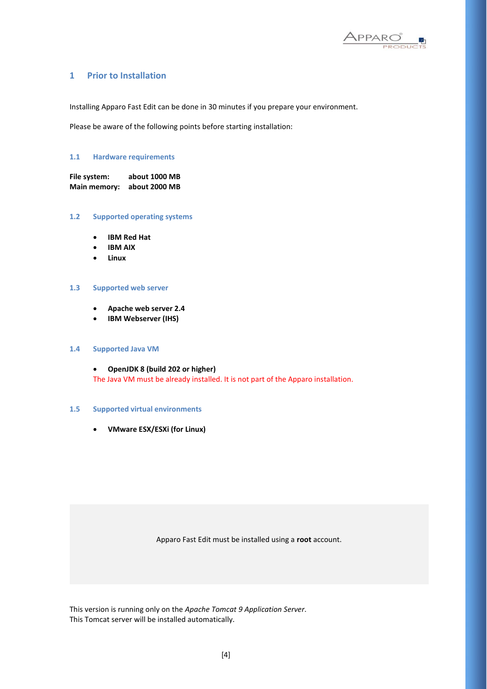

### **1 Prior to Installation**

Installing Apparo Fast Edit can be done in 30 minutes if you prepare your environment.

Please be aware of the following points before starting installation:

### **1.1 Hardware requirements**

**File system: about 1000 MB Main memory: about 2000 MB** 

#### **1.2 Supported operating systems**

- **IBM Red Hat**
- **IBM AIX**
- **Linux**

### **1.3 Supported web server**

- **Apache web server 2.4**
- **IBM Webserver (IHS)**

#### **1.4 Supported Java VM**

• **OpenJDK 8 (build 202 or higher)** The Java VM must be already installed. It is not part of the Apparo installation.

#### **1.5 Supported virtual environments**

• **VMware ESX/ESXi (for Linux)**

Apparo Fast Edit must be installed using a **root** account.

This version is running only on the *Apache Tomcat 9 Application Server*. This Tomcat server will be installed automatically.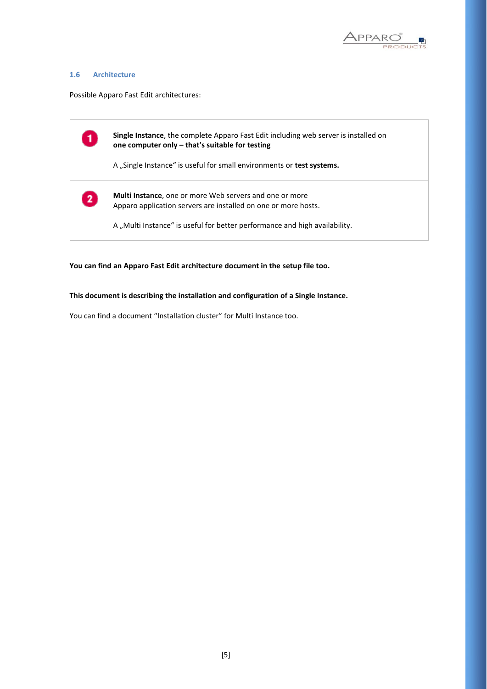

### **1.6 Architecture**

Possible Apparo Fast Edit architectures:

| $\mathbf{1}$ | Single Instance, the complete Apparo Fast Edit including web server is installed on<br>one computer only – that's suitable for testing<br>A "Single Instance" is useful for small environments or test systems. |
|--------------|-----------------------------------------------------------------------------------------------------------------------------------------------------------------------------------------------------------------|
| $\boxed{2}$  | <b>Multi Instance, one or more Web servers and one or more</b><br>Apparo application servers are installed on one or more hosts.<br>A "Multi Instance" is useful for better performance and high availability.  |

**You can find an Apparo Fast Edit architecture document in the setup file too.**

**This document is describing the installation and configuration of a Single Instance.**

You can find a document "Installation cluster" for Multi Instance too.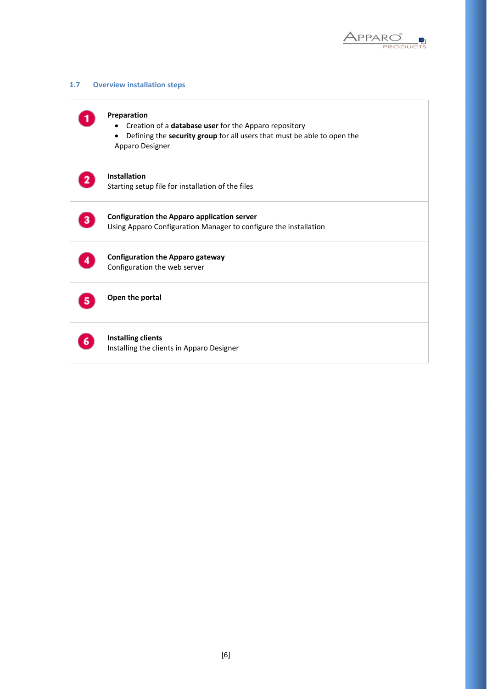

### **1.7 Overview installation steps**

|    | Preparation<br>Creation of a database user for the Apparo repository<br>$\bullet$<br>Defining the security group for all users that must be able to open the<br>٠<br>Apparo Designer |
|----|--------------------------------------------------------------------------------------------------------------------------------------------------------------------------------------|
|    | Installation<br>Starting setup file for installation of the files                                                                                                                    |
| 3  | <b>Configuration the Apparo application server</b><br>Using Apparo Configuration Manager to configure the installation                                                               |
|    | <b>Configuration the Apparo gateway</b><br>Configuration the web server                                                                                                              |
| 5. | Open the portal                                                                                                                                                                      |
|    | <b>Installing clients</b><br>Installing the clients in Apparo Designer                                                                                                               |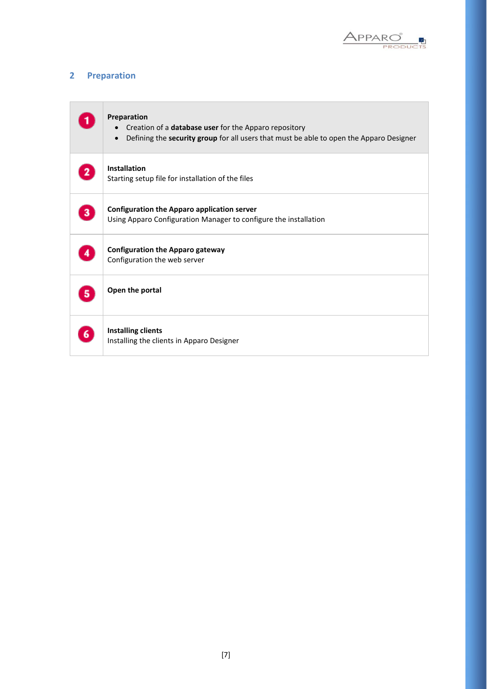

### **2 Preparation**

| Preparation<br>Creation of a database user for the Apparo repository<br>Defining the security group for all users that must be able to open the Apparo Designer<br>$\bullet$ |
|------------------------------------------------------------------------------------------------------------------------------------------------------------------------------|
| <b>Installation</b><br>Starting setup file for installation of the files                                                                                                     |
| <b>Configuration the Apparo application server</b><br>Using Apparo Configuration Manager to configure the installation                                                       |
| <b>Configuration the Apparo gateway</b><br>Configuration the web server                                                                                                      |
| Open the portal                                                                                                                                                              |
| <b>Installing clients</b><br>Installing the clients in Apparo Designer                                                                                                       |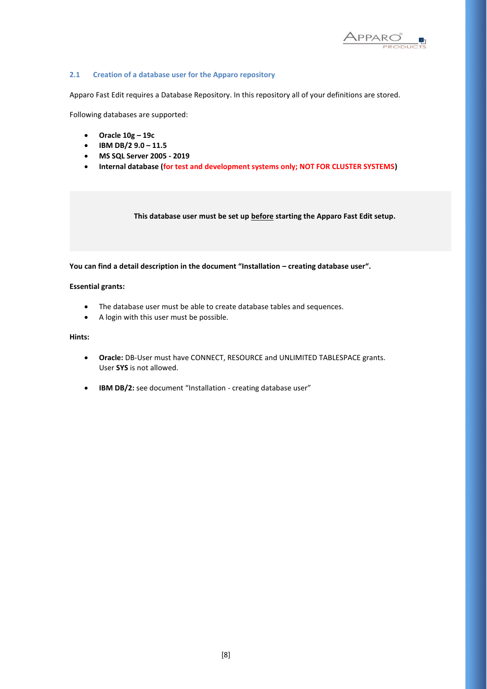

### **2.1 Creation of a database user for the Apparo repository**

Apparo Fast Edit requires a Database Repository. In this repository all of your definitions are stored.

Following databases are supported:

- **Oracle 10g – 19c**
- **IBM DB/2 9.0 – 11.5**
- **MS SQL Server 2005 - 2019**
- **Internal database (for test and development systems only; NOT FOR CLUSTER SYSTEMS)**

**This database user must be set up before starting the Apparo Fast Edit setup.**

**You can find a detail description in the document "Installation – creating database user".**

#### **Essential grants:**

- The database user must be able to create database tables and sequences.
- A login with this user must be possible.

### **Hints:**

- **Oracle:** DB-User must have CONNECT, RESOURCE and UNLIMITED TABLESPACE grants. User **SYS** is not allowed.
- **IBM DB/2:** see document "Installation creating database user"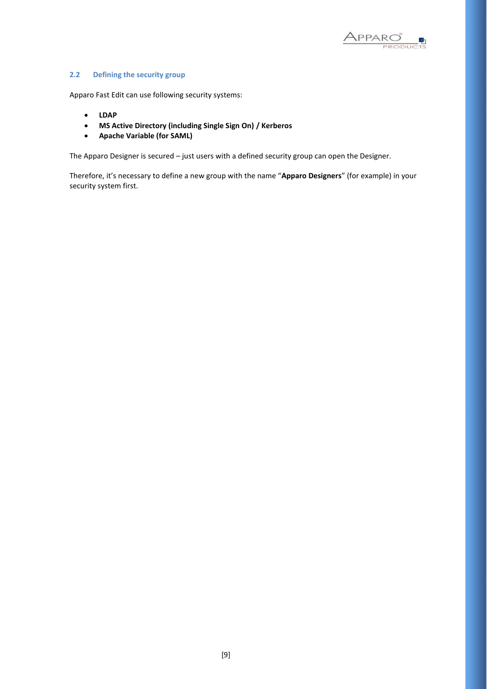

### **2.2 Defining the security group**

Apparo Fast Edit can use following security systems:

- **LDAP**
- **MS Active Directory (including Single Sign On) / Kerberos**
- **Apache Variable (for SAML)**

The Apparo Designer is secured – just users with a defined security group can open the Designer.

Therefore, it's necessary to define a new group with the name "**Apparo Designers**" (for example) in your security system first.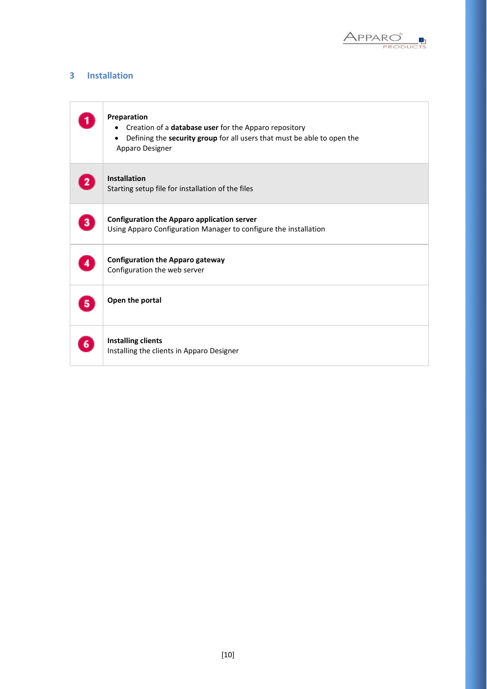

### **3 Installation**

|              | Preparation<br>Creation of a database user for the Apparo repository<br>Defining the security group for all users that must be able to open the<br>Apparo Designer |
|--------------|--------------------------------------------------------------------------------------------------------------------------------------------------------------------|
| $\mathbf{2}$ | <b>Installation</b><br>Starting setup file for installation of the files                                                                                           |
| 3            | <b>Configuration the Apparo application server</b><br>Using Apparo Configuration Manager to configure the installation                                             |
|              | <b>Configuration the Apparo gateway</b><br>Configuration the web server                                                                                            |
| 5.           | Open the portal                                                                                                                                                    |
| 6.           | <b>Installing clients</b><br>Installing the clients in Apparo Designer                                                                                             |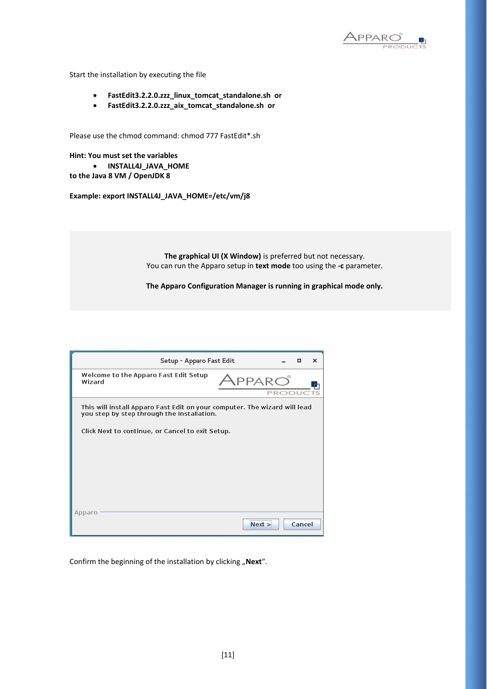

Start the installation by executing the file

- **FastEdit3.2.2.0.zzz\_linux\_tomcat\_standalone.sh or**
- **FastEdit3.2.2.0.zzz\_aix\_tomcat\_standalone.sh or**

Please use the chmod command: chmod 777 FastEdit\*.sh

**Hint: You must set the variables** • **INSTALL4J\_JAVA\_HOME**

**to the Java 8 VM / OpenJDK 8**

**Example: export INSTALL4J\_JAVA\_HOME=/etc/vm/j8**

**The graphical UI (X Window)** is preferred but not necessary. You can run the Apparo setup in **text mode** too using the **-c** parameter.

**The Apparo Configuration Manager is running in graphical mode only.**

| Setup - Apparo Fast Edit                                                                                                |        |        | о      | $\times$ |
|-------------------------------------------------------------------------------------------------------------------------|--------|--------|--------|----------|
| Welcome to the Apparo Fast Edit Setup<br>Wizard                                                                         |        | PRODUC |        |          |
| This will install Apparo Fast Edit on your computer. The wizard will lead<br>you step by step through the installation. |        |        |        |          |
| Click Next to continue, or Cancel to exit Setup.                                                                        |        |        |        |          |
|                                                                                                                         |        |        |        |          |
|                                                                                                                         |        |        |        |          |
| Apparo                                                                                                                  |        |        |        |          |
|                                                                                                                         | Next > |        | Cancel |          |

Confirm the beginning of the installation by clicking "Next".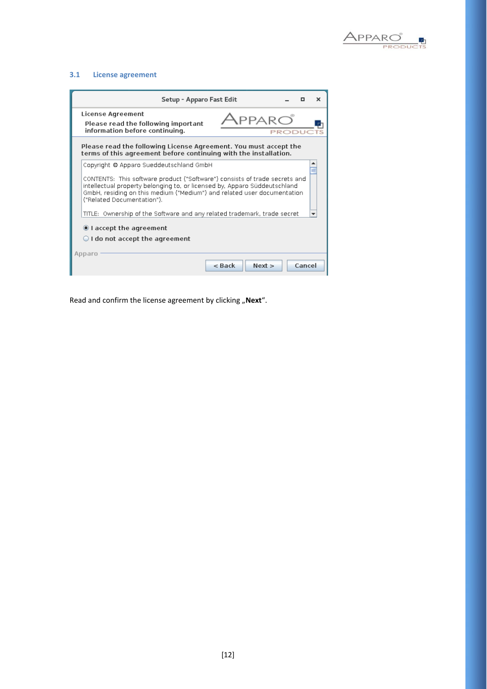

### **3.1 License agreement**

| Setup - Apparo Fast Edit                                                                                                                                                                                                                                                                                    | × |
|-------------------------------------------------------------------------------------------------------------------------------------------------------------------------------------------------------------------------------------------------------------------------------------------------------------|---|
| License Agreement<br>Please read the following important<br>information before continuing.<br>PRODU                                                                                                                                                                                                         |   |
| Please read the following License Agreement. You must accept the<br>terms of this agreement before continuing with the installation.                                                                                                                                                                        |   |
| Copyright @ Apparo Sueddeutschland GmbH<br>CONTENTS: This software product ("Software") consists of trade secrets and<br>intellectual property belonging to, or licensed by, Apparo Süddeutschland<br>GmbH, residing on this medium ("Medium") and related user documentation<br>("Related Documentation"). |   |
| TITLE: Ownership of the Software and any related trademark, trade secret                                                                                                                                                                                                                                    |   |
| I accept the agreement<br>$\bigcirc$ I do not accept the agreement                                                                                                                                                                                                                                          |   |
| Apparo<br>Next<br>Cancel<br>$\leq$ Back                                                                                                                                                                                                                                                                     |   |

Read and confirm the license agreement by clicking "Next".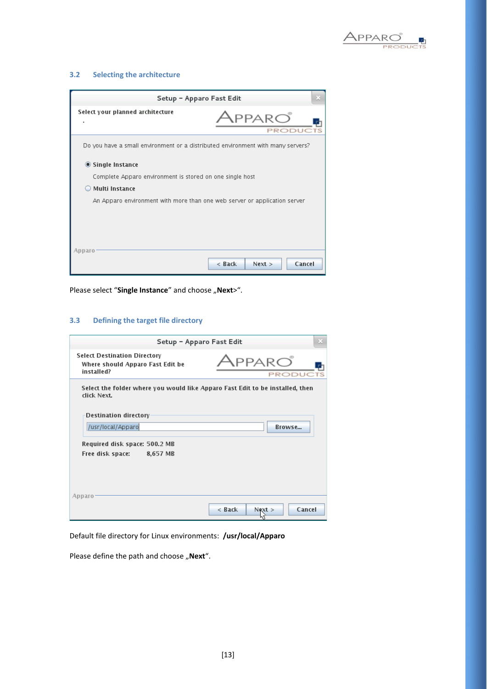

### **3.2 Selecting the architecture**

| Setup - Apparo Fast Edit                                                        |                                                            |  |  |
|---------------------------------------------------------------------------------|------------------------------------------------------------|--|--|
| Select your planned architecture                                                | $\lambda$ pparo $\tilde{\phantom{\alpha}}$<br><b>PRODU</b> |  |  |
| Do you have a small environment or a distributed environment with many servers? |                                                            |  |  |
| ◉ Single Instance                                                               |                                                            |  |  |
|                                                                                 | Complete Apparo environment is stored on one single host   |  |  |
| <b>Multi Instance</b>                                                           |                                                            |  |  |
| An Apparo environment with more than one web server or application server       |                                                            |  |  |
|                                                                                 |                                                            |  |  |
|                                                                                 |                                                            |  |  |
|                                                                                 |                                                            |  |  |
| Apparo                                                                          |                                                            |  |  |
|                                                                                 | < Back<br>Cancel<br>Next                                   |  |  |

Please select "Single Instance" and choose "Next>".

### **3.3 Defining the target file directory**

| Setup - Apparo Fast Edit                                                                     |                                            |
|----------------------------------------------------------------------------------------------|--------------------------------------------|
| <b>Select Destination Directory</b><br>Where should Apparo Fast Edit be<br>installed?        | $\lambda$ pparo $\degree$<br><b>PRODUC</b> |
| Select the folder where you would like Apparo Fast Edit to be installed, then<br>click Next. |                                            |
| Destination directory                                                                        |                                            |
| /usr/local/Apparo                                                                            | <b>Rrowse</b>                              |
| Required disk space: 500.2 MB<br>Free disk space:<br>8,657 MB                                |                                            |
| Apparo                                                                                       |                                            |
|                                                                                              | $<$ Back<br>Cancel<br>Next                 |

Default file directory for Linux environments: **/usr/local/Apparo**

Please define the path and choose "Next".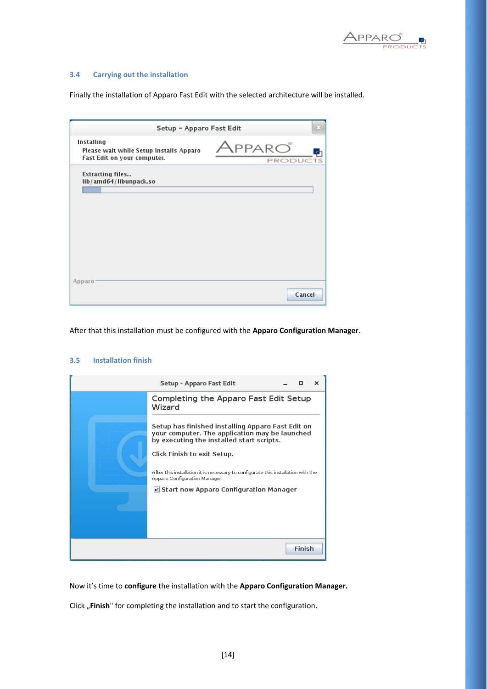

### **3.4 Carrying out the installation**

Finally the installation of Apparo Fast Edit with the selected architecture will be installed.

| Setup - Apparo Fast Edit                                                             |                          |        |
|--------------------------------------------------------------------------------------|--------------------------|--------|
| Installing<br>Please wait while Setup installs Apparo<br>Fast Edit on your computer. | LPPARCO<br><b>PRODUC</b> |        |
| <b>Extracting files</b><br>lib/amd64/libunpack.so                                    |                          |        |
|                                                                                      |                          |        |
|                                                                                      |                          |        |
|                                                                                      |                          |        |
| Apparo                                                                               |                          | Cancel |

After that this installation must be configured with the **Apparo Configuration Manager**.

#### **3.5 Installation finish**

|               | Setup - Apparo Fast Edit                                                                                                                          |  |
|---------------|---------------------------------------------------------------------------------------------------------------------------------------------------|--|
|               | Completing the Apparo Fast Edit Setup<br>Wizard                                                                                                   |  |
|               | Setup has finished installing Apparo Fast Edit on<br>your computer. The application may be launched<br>by executing the installed start scripts.  |  |
|               | Click Finish to exit Setup.<br>After this installation it is necessary to configurate this installation with the<br>Apparo Configuration Manager. |  |
|               | El Start now Apparo Configuration Manager                                                                                                         |  |
|               |                                                                                                                                                   |  |
| <b>Finish</b> |                                                                                                                                                   |  |

Now it's time to **configure** the installation with the **Apparo Configuration Manager.** 

Click "Finish" for completing the installation and to start the configuration.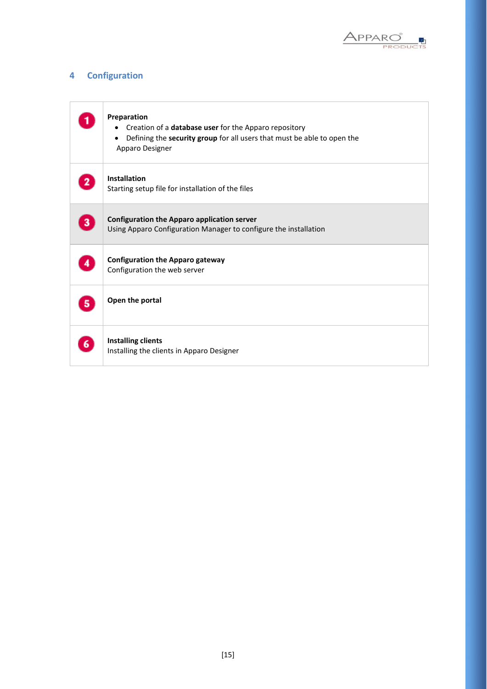

### **4 Configuration**

|                | Preparation<br>Creation of a database user for the Apparo repository<br>Defining the security group for all users that must be able to open the<br>Apparo Designer |
|----------------|--------------------------------------------------------------------------------------------------------------------------------------------------------------------|
| $\mathbf{2}$   | <b>Installation</b><br>Starting setup file for installation of the files                                                                                           |
| 3 <sup>2</sup> | <b>Configuration the Apparo application server</b><br>Using Apparo Configuration Manager to configure the installation                                             |
|                | <b>Configuration the Apparo gateway</b><br>Configuration the web server                                                                                            |
| 5.             | Open the portal                                                                                                                                                    |
| 6.             | <b>Installing clients</b><br>Installing the clients in Apparo Designer                                                                                             |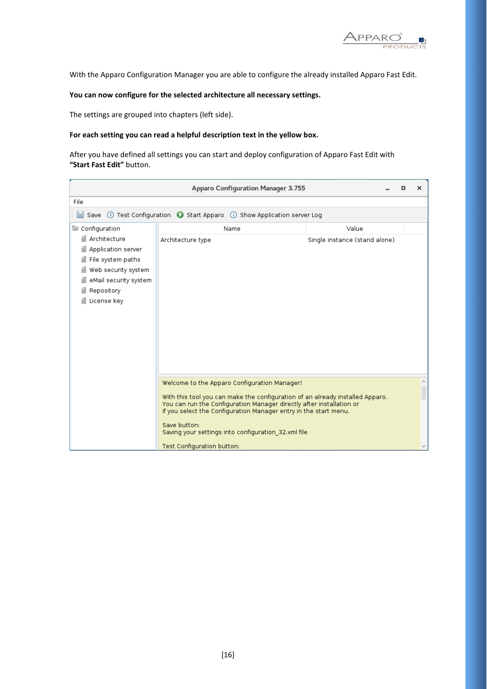

With the Apparo Configuration Manager you are able to configure the already installed Apparo Fast Edit.

### **You can now configure for the selected architecture all necessary settings.**

The settings are grouped into chapters (left side).

### **For each setting you can read a helpful description text in the yellow box.**

After you have defined all settings you can start and deploy configuration of Apparo Fast Edit with **"Start Fast Edit"** button.

|                                                                                                                                      | Apparo Configuration Manager 3.755                                                                                                                                                                                                                                                                                             |                               | о | × |
|--------------------------------------------------------------------------------------------------------------------------------------|--------------------------------------------------------------------------------------------------------------------------------------------------------------------------------------------------------------------------------------------------------------------------------------------------------------------------------|-------------------------------|---|---|
| File                                                                                                                                 |                                                                                                                                                                                                                                                                                                                                |                               |   |   |
|                                                                                                                                      | Save © Test Configuration © Start Apparo ① Show Application server Log                                                                                                                                                                                                                                                         |                               |   |   |
| Configuration                                                                                                                        | Name                                                                                                                                                                                                                                                                                                                           | Value                         |   |   |
| Architecture<br>Application server<br>File system paths<br>Web security system<br>eMail security system<br>Repository<br>License key | Architecture type                                                                                                                                                                                                                                                                                                              | Single instance (stand alone) |   |   |
|                                                                                                                                      | Welcome to the Apparo Configuration Manager!                                                                                                                                                                                                                                                                                   |                               |   |   |
|                                                                                                                                      | With this tool you can make the configuration of an already installed Apparo.<br>You can run the Configuration Manager directly after installation or<br>if you select the Configuration Manager entry in the start menu.<br>Save button:<br>Saving your settings into configuration 32.xml file<br>Test Configuration button: |                               |   |   |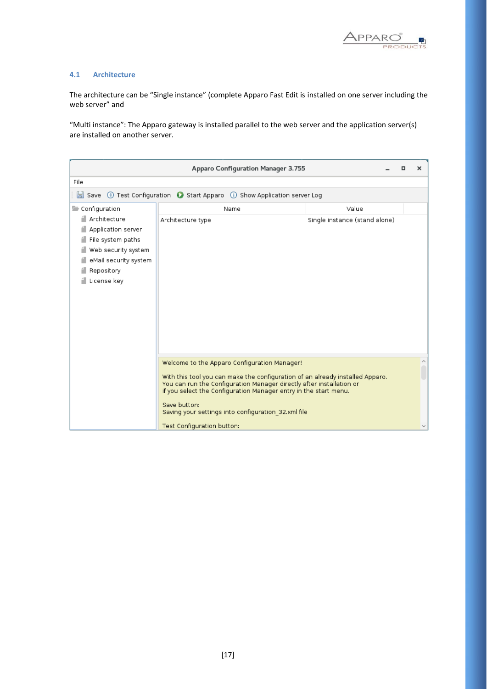

#### **4.1 Architecture**

The architecture can be "Single instance" (complete Apparo Fast Edit is installed on one server including the web server" and

"Multi instance": The Apparo gateway is installed parallel to the web server and the application server(s) are installed on another server.

|                                                                                                                                      | Apparo Configuration Manager 3.755                                                                                                                                                                                                                                                                                                               |                               | o | × |
|--------------------------------------------------------------------------------------------------------------------------------------|--------------------------------------------------------------------------------------------------------------------------------------------------------------------------------------------------------------------------------------------------------------------------------------------------------------------------------------------------|-------------------------------|---|---|
| File                                                                                                                                 |                                                                                                                                                                                                                                                                                                                                                  |                               |   |   |
|                                                                                                                                      | Save © Test Configuration (C) Start Apparo (D) Show Application server Log                                                                                                                                                                                                                                                                       |                               |   |   |
| Configuration                                                                                                                        | Name                                                                                                                                                                                                                                                                                                                                             | Value                         |   |   |
| Architecture<br>Application server<br>File system paths<br>Web security system<br>eMail security system<br>Repository<br>License key | Architecture type                                                                                                                                                                                                                                                                                                                                | Single instance (stand alone) |   |   |
|                                                                                                                                      | Welcome to the Apparo Configuration Manager!<br>With this tool you can make the configuration of an already installed Apparo.<br>You can run the Configuration Manager directly after installation or<br>if you select the Configuration Manager entry in the start menu.<br>Save button:<br>Saving your settings into configuration 32.xml file |                               |   | ٨ |
|                                                                                                                                      | Test Configuration button:                                                                                                                                                                                                                                                                                                                       |                               |   |   |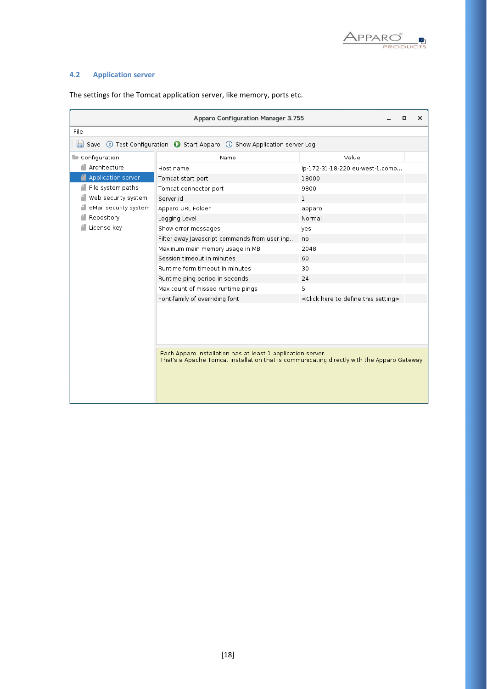

### **4.2 Application server**

|                       | Apparo Configuration Manager 3.755                                                                                                                         | ×<br>о                                                     |
|-----------------------|------------------------------------------------------------------------------------------------------------------------------------------------------------|------------------------------------------------------------|
| File                  |                                                                                                                                                            |                                                            |
|                       | Save © Test Configuration © Start Apparo ① Show Application server Log                                                                                     |                                                            |
| Configuration         | Name                                                                                                                                                       | Value                                                      |
| Architecture          | Host name                                                                                                                                                  | ip-172-31-18-220.eu-west-1.comp                            |
| Application server    | Tomcat start port                                                                                                                                          | 18000                                                      |
| File system paths     | Tomcat connector port                                                                                                                                      | 9800                                                       |
| Web security system   | Server id                                                                                                                                                  | $\mathbf{1}$                                               |
| eMail security system | Apparo URL Folder                                                                                                                                          | apparo                                                     |
| Repository            | Logging Level                                                                                                                                              | Normal                                                     |
| License key           | Show error messages                                                                                                                                        | yes                                                        |
|                       | Filter away Javascript commands from user inp                                                                                                              | no                                                         |
|                       | Maximum main memory usage in MB                                                                                                                            | 2048                                                       |
|                       | Session timeout in minutes                                                                                                                                 | 60                                                         |
|                       | Runtime form timeout in minutes                                                                                                                            | 30                                                         |
|                       | Runtime ping period in seconds                                                                                                                             | 24                                                         |
|                       | Max count of missed runtime pings                                                                                                                          | 5.                                                         |
|                       | Font-family of overriding font                                                                                                                             | <click define="" here="" setting="" this="" to=""></click> |
|                       | Each Apparo installation has at least 1 application server.<br>That's a Apache Tomcat installation that is communicating directly with the Apparo Gateway. |                                                            |

The settings for the Tomcat application server, like memory, ports etc.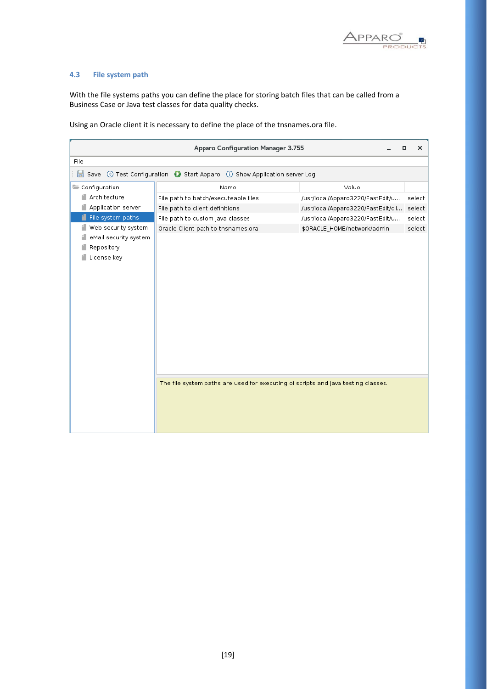

### **4.3 File system path**

With the file systems paths you can define the place for storing batch files that can be called from a Business Case or Java test classes for data quality checks.

Using an Oracle client it is necessary to define the place of the tnsnames.ora file.

|                       | Apparo Configuration Manager 3.755                                                | ×<br>о                                       |
|-----------------------|-----------------------------------------------------------------------------------|----------------------------------------------|
| File                  |                                                                                   |                                              |
| H<br>Save             | © Test Configuration © Start Apparo (i) Show Application server Log               |                                              |
| Configuration         | Name                                                                              | Value                                        |
| Architecture          | File path to batch/executeable files                                              | /usr/local/Apparo3220/FastEdit/u<br>select   |
| Application server    | File path to client definitions                                                   | /usr/local/Apparo3220/FastEdit/cli<br>select |
| File system paths     | File path to custom java classes                                                  | /usr/local/Apparo3220/FastEdit/u<br>select   |
| Web security system   | Oracle Client path to tnsnames.ora                                                | \$ORACLE HOME/network/admin<br>select        |
| eMail security system |                                                                                   |                                              |
| Repository            |                                                                                   |                                              |
| License key           |                                                                                   |                                              |
|                       |                                                                                   |                                              |
|                       |                                                                                   |                                              |
|                       |                                                                                   |                                              |
|                       |                                                                                   |                                              |
|                       |                                                                                   |                                              |
|                       |                                                                                   |                                              |
|                       |                                                                                   |                                              |
|                       |                                                                                   |                                              |
|                       |                                                                                   |                                              |
|                       |                                                                                   |                                              |
|                       |                                                                                   |                                              |
|                       | The file system paths are used for executing of scripts and java testing classes. |                                              |
|                       |                                                                                   |                                              |
|                       |                                                                                   |                                              |
|                       |                                                                                   |                                              |
|                       |                                                                                   |                                              |
|                       |                                                                                   |                                              |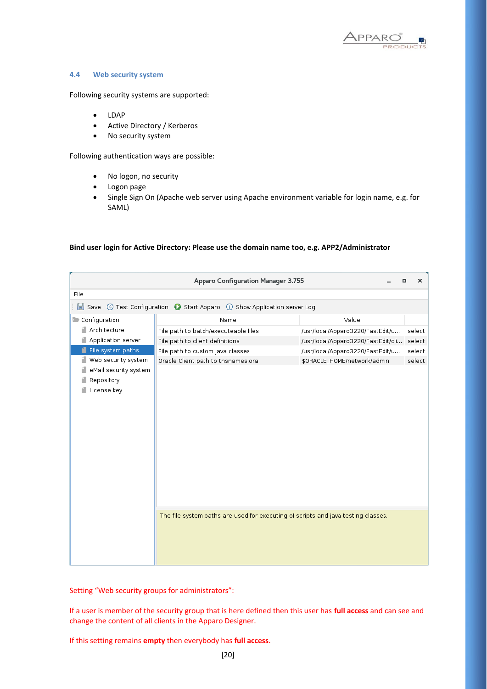

### **4.4 Web security system**

Following security systems are supported:

- LDAP
- Active Directory / Kerberos
- No security system

Following authentication ways are possible:

- No logon, no security
- Logon page
- Single Sign On (Apache web server using Apache environment variable for login name, e.g. for SAML)

#### **Bind user login for Active Directory: Please use the domain name too, e.g. APP2/Administrator**

|                       | Apparo Configuration Manager 3.755                                                | □                                  | ×      |
|-----------------------|-----------------------------------------------------------------------------------|------------------------------------|--------|
| File                  |                                                                                   |                                    |        |
|                       | Save © Test Configuration © Start Apparo ① Show Application server Log            |                                    |        |
| Configuration         | Name                                                                              | Value                              |        |
| Architecture          | File path to batch/executeable files                                              | /usr/local/Apparo3220/FastEdit/u   | select |
| Application server    | File path to client definitions                                                   | /usr/local/Apparo3220/FastEdit/cli | select |
| File system paths     | File path to custom java classes                                                  | /usr/local/Apparo3220/FastEdit/u   | select |
| Web security system   | Oracle Client path to tnsnames.ora                                                | \$ORACLE_HOME/network/admin        | select |
| eMail security system |                                                                                   |                                    |        |
| Repository            |                                                                                   |                                    |        |
| License key           |                                                                                   |                                    |        |
|                       |                                                                                   |                                    |        |
|                       |                                                                                   |                                    |        |
|                       |                                                                                   |                                    |        |
|                       |                                                                                   |                                    |        |
|                       |                                                                                   |                                    |        |
|                       |                                                                                   |                                    |        |
|                       |                                                                                   |                                    |        |
|                       |                                                                                   |                                    |        |
|                       |                                                                                   |                                    |        |
|                       |                                                                                   |                                    |        |
|                       |                                                                                   |                                    |        |
|                       | The file system paths are used for executing of scripts and java testing classes. |                                    |        |
|                       |                                                                                   |                                    |        |
|                       |                                                                                   |                                    |        |
|                       |                                                                                   |                                    |        |
|                       |                                                                                   |                                    |        |
|                       |                                                                                   |                                    |        |

Setting "Web security groups for administrators":

If a user is member of the security group that is here defined then this user has **full access** and can see and change the content of all clients in the Apparo Designer.

If this setting remains **empty** then everybody has **full access**.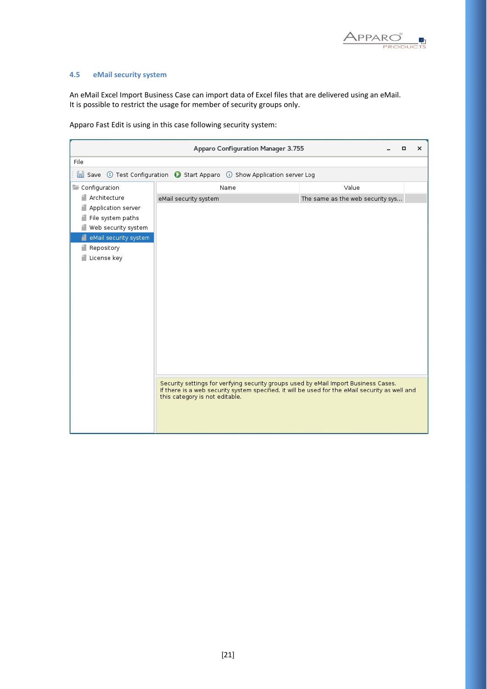

### **4.5 eMail security system**

An eMail Excel Import Business Case can import data of Excel files that are delivered using an eMail. It is possible to restrict the usage for member of security groups only.

Apparo Fast Edit is using in this case following security system:

|                            | Apparo Configuration Manager 3.755                                                                                                                                                      |                                  | o | × |
|----------------------------|-----------------------------------------------------------------------------------------------------------------------------------------------------------------------------------------|----------------------------------|---|---|
| File                       |                                                                                                                                                                                         |                                  |   |   |
|                            | Save © Test Configuration (C Start Apparo (D Show Application server Log                                                                                                                |                                  |   |   |
| Configuration              | Name                                                                                                                                                                                    | Value                            |   |   |
| Architecture               | eMail security system                                                                                                                                                                   | The same as the web security sys |   |   |
| Application server         |                                                                                                                                                                                         |                                  |   |   |
| File system paths          |                                                                                                                                                                                         |                                  |   |   |
| █ Web security system      |                                                                                                                                                                                         |                                  |   |   |
| 4<br>eMail security system |                                                                                                                                                                                         |                                  |   |   |
| Repository                 |                                                                                                                                                                                         |                                  |   |   |
| License key                |                                                                                                                                                                                         |                                  |   |   |
|                            |                                                                                                                                                                                         |                                  |   |   |
|                            |                                                                                                                                                                                         |                                  |   |   |
|                            |                                                                                                                                                                                         |                                  |   |   |
|                            |                                                                                                                                                                                         |                                  |   |   |
|                            |                                                                                                                                                                                         |                                  |   |   |
|                            |                                                                                                                                                                                         |                                  |   |   |
|                            |                                                                                                                                                                                         |                                  |   |   |
|                            |                                                                                                                                                                                         |                                  |   |   |
|                            |                                                                                                                                                                                         |                                  |   |   |
|                            |                                                                                                                                                                                         |                                  |   |   |
|                            |                                                                                                                                                                                         |                                  |   |   |
|                            | Security settings for verifying security groups used by eMail Import Business Cases.<br>If there is a web security system specified, it will be used for the eMail security as well and |                                  |   |   |
|                            | this category is not editable.                                                                                                                                                          |                                  |   |   |
|                            |                                                                                                                                                                                         |                                  |   |   |
|                            |                                                                                                                                                                                         |                                  |   |   |
|                            |                                                                                                                                                                                         |                                  |   |   |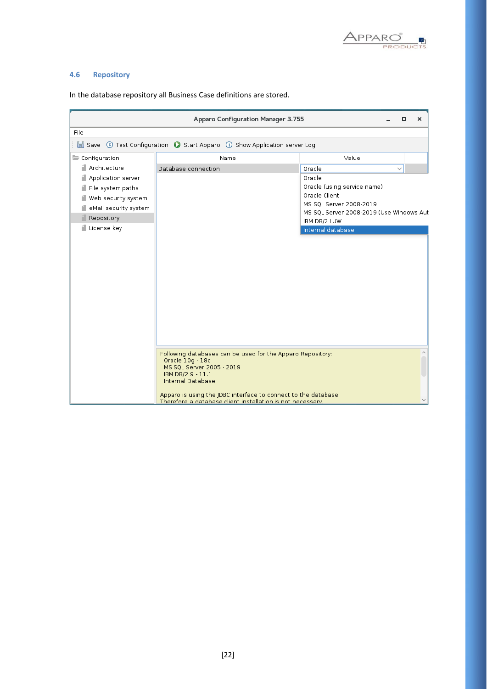

### **4.6 Repository**

|                       | Apparo Configuration Manager 3.755                                                                                           | $\times$<br>o                                            |
|-----------------------|------------------------------------------------------------------------------------------------------------------------------|----------------------------------------------------------|
| File                  |                                                                                                                              |                                                          |
|                       | Save © Test Configuration © Start Apparo (i) Show Application server Log                                                     |                                                          |
| Configuration         | Name                                                                                                                         | Value                                                    |
| ≝ Architecture        | Database connection                                                                                                          | Oracle<br>$\checkmark$                                   |
| Application server    |                                                                                                                              | Oracle                                                   |
| File system paths     |                                                                                                                              | Oracle (using service name)                              |
| Web security system   |                                                                                                                              | Oracle Client                                            |
| eMail security system |                                                                                                                              | MS SQL Server 2008-2019                                  |
| Repository            |                                                                                                                              | MS SQL Server 2008-2019 (Use Windows Aut<br>IBM DB/2 LUW |
| License key           |                                                                                                                              | Internal database                                        |
|                       |                                                                                                                              |                                                          |
|                       |                                                                                                                              |                                                          |
|                       |                                                                                                                              |                                                          |
|                       |                                                                                                                              |                                                          |
|                       |                                                                                                                              |                                                          |
|                       |                                                                                                                              |                                                          |
|                       |                                                                                                                              |                                                          |
|                       |                                                                                                                              |                                                          |
|                       |                                                                                                                              |                                                          |
|                       |                                                                                                                              |                                                          |
|                       |                                                                                                                              |                                                          |
|                       |                                                                                                                              |                                                          |
|                       | Following databases can be used for the Apparo Repository:                                                                   |                                                          |
|                       | Oracle 10g - 18c<br>MS SQL Server 2005 - 2019                                                                                |                                                          |
|                       | IBM DB/2 9 - 11.1                                                                                                            |                                                          |
|                       | Internal Database                                                                                                            |                                                          |
|                       | Apparo is using the JDBC interface to connect to the database.<br>Therefore a database client installation is not necessary. |                                                          |

In the database repository all Business Case definitions are stored.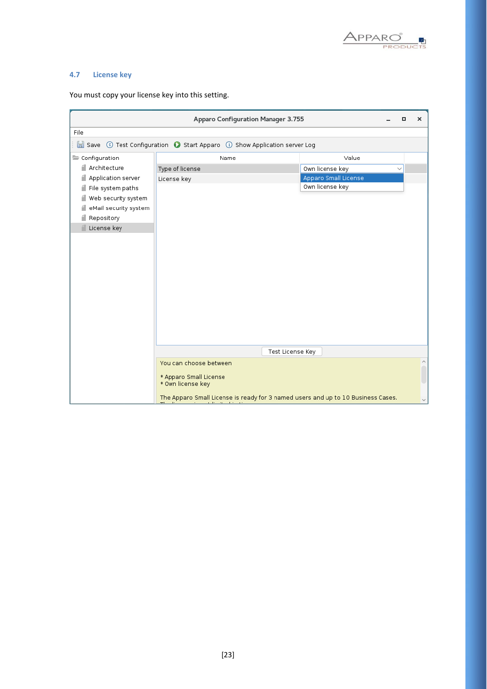

### **4.7 License key**

|                       | Apparo Configuration Manager 3.755                                               | $\times$<br>$\Box$              |
|-----------------------|----------------------------------------------------------------------------------|---------------------------------|
| File                  |                                                                                  |                                 |
|                       | Save © Test Configuration © Start Apparo (i) Show Application server Log         |                                 |
| Configuration         | Name                                                                             | Value                           |
| ill Architecture      | Type of license                                                                  | Own license key<br>$\checkmark$ |
| Application server    | License key                                                                      | Apparo Small License            |
| File system paths     |                                                                                  | Own license key                 |
| Web security system   |                                                                                  |                                 |
| eMail security system |                                                                                  |                                 |
| Repository            |                                                                                  |                                 |
| License key           |                                                                                  |                                 |
|                       |                                                                                  |                                 |
|                       |                                                                                  |                                 |
|                       |                                                                                  |                                 |
|                       |                                                                                  |                                 |
|                       |                                                                                  |                                 |
|                       |                                                                                  |                                 |
|                       |                                                                                  |                                 |
|                       |                                                                                  |                                 |
|                       |                                                                                  |                                 |
|                       |                                                                                  |                                 |
|                       |                                                                                  |                                 |
|                       | Test License Key                                                                 |                                 |
|                       | You can choose between                                                           | ٨                               |
|                       | * Apparo Small License                                                           |                                 |
|                       | * Own license key                                                                |                                 |
|                       | The Apparo Small License is ready for 3 named users and up to 10 Business Cases. | $\checkmark$                    |

You must copy your license key into this setting.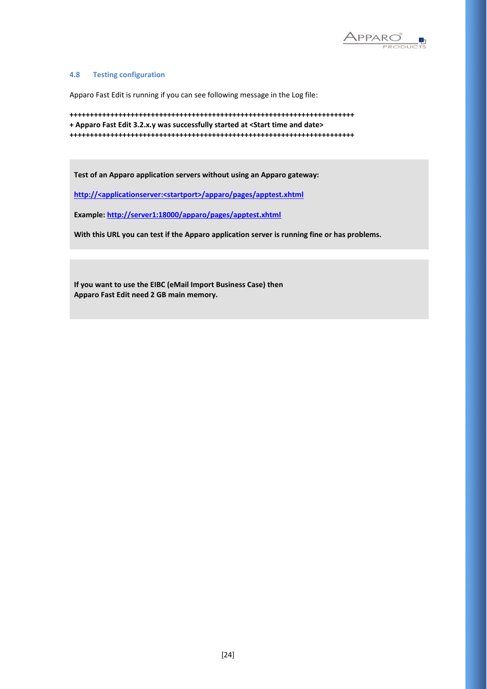

#### **4.8 Testing configuration**

Apparo Fast Edit is running if you can see following message in the Log file:

```
++++++++++++++++++++++++++++++++++++++++++++++++++++++++++++++++++++++
+ Apparo Fast Edit 3.2.x.y was successfully started at <Start time and date>
++++++++++++++++++++++++++++++++++++++++++++++++++++++++++++++++++++++
```
**Test of an Apparo application servers without using an Apparo gateway:**

**http://<applicationserver:<startport>/apparo/pages/apptest.xhtml**

**Example:<http://server1:18000/apparo/pages/apptest.xhtml>**

**With this URL you can test if the Apparo application server is running fine or has problems.**

**If you want to use the EIBC (eMail Import Business Case) then Apparo Fast Edit need 2 GB main memory.**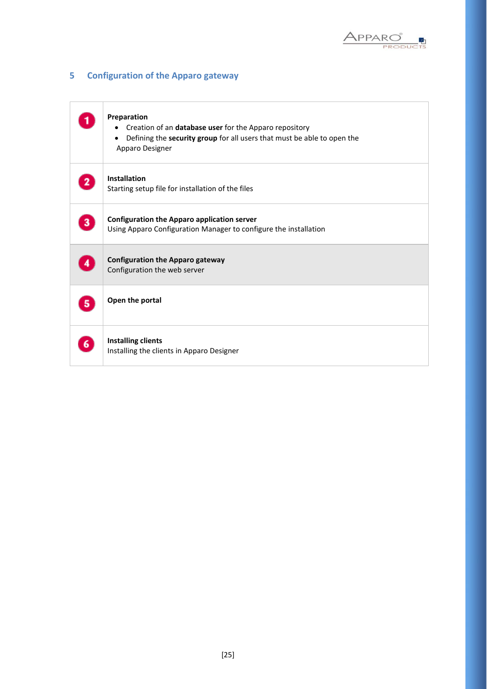

### **5 Configuration of the Apparo gateway**

|   | Preparation<br>Creation of an database user for the Apparo repository<br>$\bullet$<br>Defining the security group for all users that must be able to open the<br>٠<br>Apparo Designer |
|---|---------------------------------------------------------------------------------------------------------------------------------------------------------------------------------------|
|   | <b>Installation</b><br>Starting setup file for installation of the files                                                                                                              |
| 3 | <b>Configuration the Apparo application server</b><br>Using Apparo Configuration Manager to configure the installation                                                                |
| 4 | <b>Configuration the Apparo gateway</b><br>Configuration the web server                                                                                                               |
| 5 | Open the portal                                                                                                                                                                       |
|   | <b>Installing clients</b><br>Installing the clients in Apparo Designer                                                                                                                |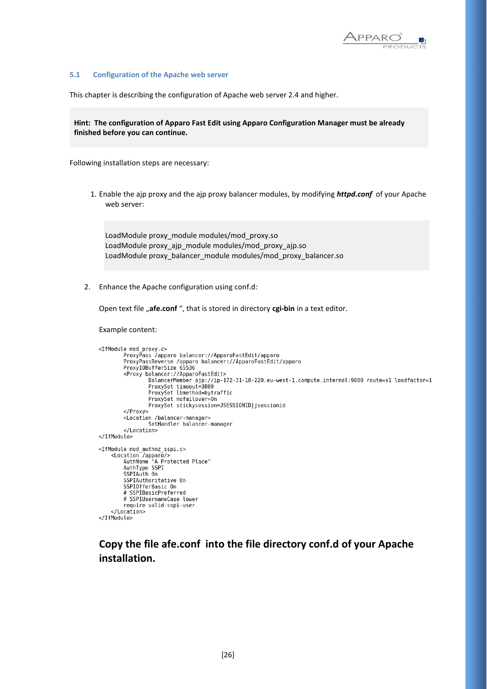

#### **5.1 Configuration of the Apache web server**

This chapter is describing the configuration of Apache web server 2.4 and higher.

**Hint: The configuration of Apparo Fast Edit using Apparo Configuration Manager must be already finished before you can continue.**

Following installation steps are necessary:

1. Enable the ajp proxy and the ajp proxy balancer modules, by modifying *httpd.conf* of your Apache web server:

LoadModule proxy\_module modules/mod\_proxy.so LoadModule proxy\_ajp\_module modules/mod\_proxy\_ajp.so LoadModule proxy\_balancer\_module modules/mod\_proxy\_balancer.so

2. Enhance the Apache configuration using conf.d:

Open text file "afe.conf ", that is stored in directory cgi-bin in a text editor.

Example content:

```
<IfModule mod_proxy.c>
           e mou_proxy.c><br>ProxyPass /apparo balancer://ApparoFastEdit/apparo<br>ProxyPassReverse /apparo balancer://ApparoFastEdit/apparo<br>ProxyIOBufferSize 65536
           <Proxy balancer://ApparoFastEdit>
                       лакансе:///Apparorasicuic><br>ВаlancerMember ajp://ip-172-31-18-220.eu-west-1.compute.internal:9800 route=s1 loadfactor=1<br>ProxySet timeout=3000
                       ProxySet lbmethod=bytraffic
                       ProxySet nofailover=On
                       ProxySet stickysession=JSESSIONID|jsessionid
           </Proxy>
           <Location /balancer-manager>
                       SetHandler balancer-manager
           </Location>
</IfModule>
<IfModule mod_authnz_sspi.c><br>
<Location /apparo/><br>
AuthName "A Protected Place"<br>
AuthType SSPI<br>
SSPIAuth On
           SSPIAuthoritative On
           SSPIOfferBasic On
           # SSPIBasicPreferred
           # SSPIUsernameCase lower
           require valid-sspi-user
     </Location>
</IfModule>
```
### **Copy the file afe.conf into the file directory conf.d of your Apache installation.**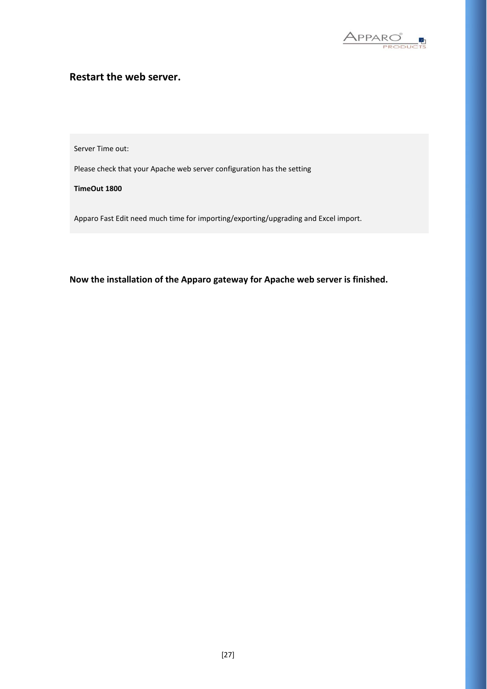

### **Restart the web server.**

Server Time out:

Please check that your Apache web server configuration has the setting

**TimeOut 1800**

Apparo Fast Edit need much time for importing/exporting/upgrading and Excel import.

**Now the installation of the Apparo gateway for Apache web server is finished.**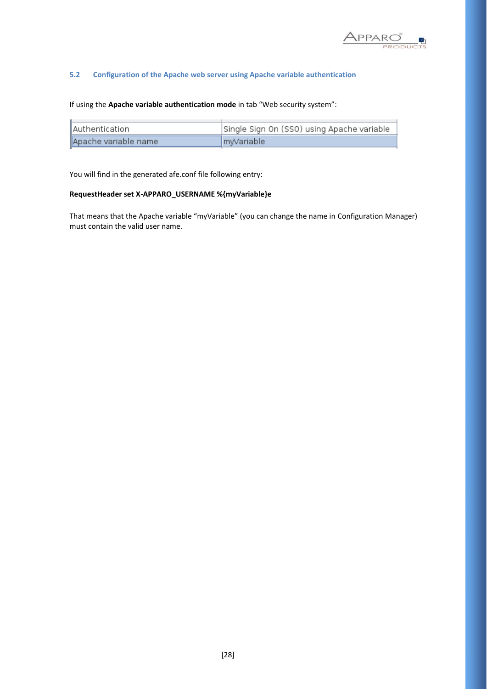

### **5.2 Configuration of the Apache web server using Apache variable authentication**

If using the **Apache variable authentication mode** in tab "Web security system":

| <b>I</b> Authentication | Single Sign On (SSO) using Apache variable |
|-------------------------|--------------------------------------------|
| Apache variable name    | ImyVariable                                |

You will find in the generated afe.conf file following entry:

### **RequestHeader set X-APPARO\_USERNAME %{myVariable}e**

That means that the Apache variable "myVariable" (you can change the name in Configuration Manager) must contain the valid user name.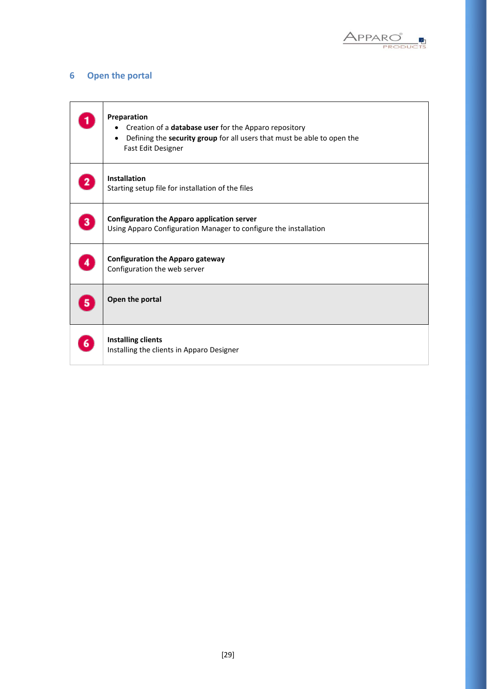

### **6 Open the portal**

|   | Preparation<br>Creation of a database user for the Apparo repository<br>Defining the security group for all users that must be able to open the<br>Fast Edit Designer |
|---|-----------------------------------------------------------------------------------------------------------------------------------------------------------------------|
|   | <b>Installation</b><br>Starting setup file for installation of the files                                                                                              |
| з | <b>Configuration the Apparo application server</b><br>Using Apparo Configuration Manager to configure the installation                                                |
|   | <b>Configuration the Apparo gateway</b><br>Configuration the web server                                                                                               |
|   | Open the portal                                                                                                                                                       |
|   | <b>Installing clients</b><br>Installing the clients in Apparo Designer                                                                                                |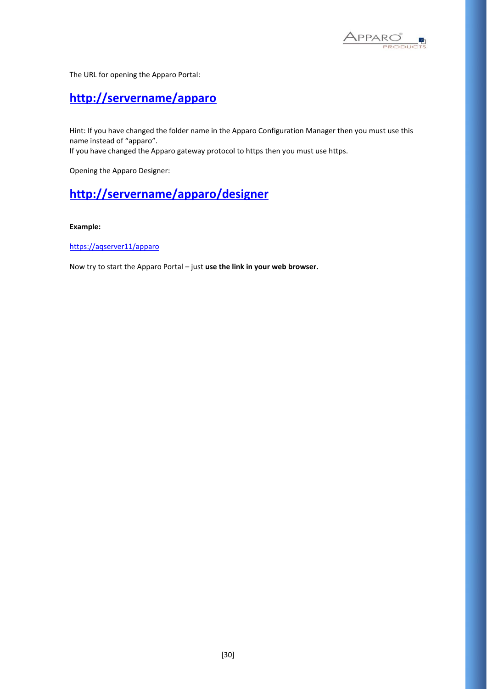

The URL for opening the Apparo Portal:

## **<http://servername/apparo>**

Hint: If you have changed the folder name in the Apparo Configuration Manager then you must use this name instead of "apparo".

If you have changed the Apparo gateway protocol to https then you must use https.

Opening the Apparo Designer:

## **[http://servername/apparo/](http://servername/apparo)designer**

### **Example:**

<https://aqserver11/apparo>

Now try to start the Apparo Portal – just **use the link in your web browser.**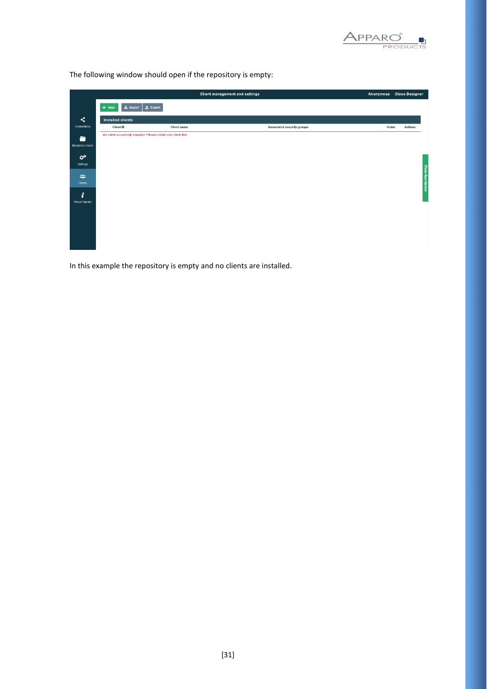

The following window should open if the repository is empty:

|                                                                            |                                         |                                                                   | Client management and settings | Anonymous | <b>Close Designer</b> |
|----------------------------------------------------------------------------|-----------------------------------------|-------------------------------------------------------------------|--------------------------------|-----------|-----------------------|
|                                                                            | $\vert$ $\pm$ Import $\vert$<br>$+$ New | $\triangle$ Export                                                |                                |           |                       |
| $\prec$                                                                    | Installed clients                       |                                                                   |                                |           |                       |
| Connections                                                                | Client ID                               | <b>Client name</b>                                                | Associated security groups     | Order     | <b>Actions</b>        |
| ÷<br><b>Business Cases</b><br>$\mathbf{x}^{\mathrm{c}}$<br>Settings<br>225 |                                         | No client is currently installed. Please create one client first. |                                |           | Show description      |
| Clients<br>i<br>About Apparo                                               |                                         |                                                                   |                                |           |                       |

In this example the repository is empty and no clients are installed.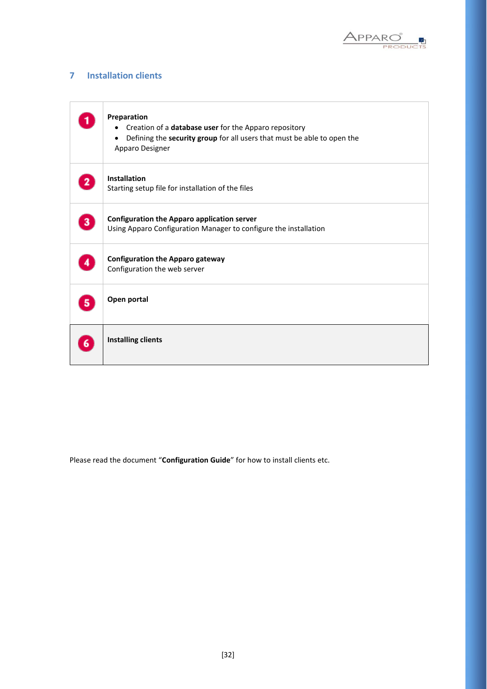

### **7 Installation clients**

|   | Preparation<br>Creation of a database user for the Apparo repository<br>٠<br>Defining the security group for all users that must be able to open the<br>٠<br>Apparo Designer |
|---|------------------------------------------------------------------------------------------------------------------------------------------------------------------------------|
|   | <b>Installation</b><br>Starting setup file for installation of the files                                                                                                     |
| 3 | <b>Configuration the Apparo application server</b><br>Using Apparo Configuration Manager to configure the installation                                                       |
|   | <b>Configuration the Apparo gateway</b><br>Configuration the web server                                                                                                      |
|   | Open portal                                                                                                                                                                  |
|   | <b>Installing clients</b>                                                                                                                                                    |

Please read the document "**Configuration Guide**" for how to install clients etc.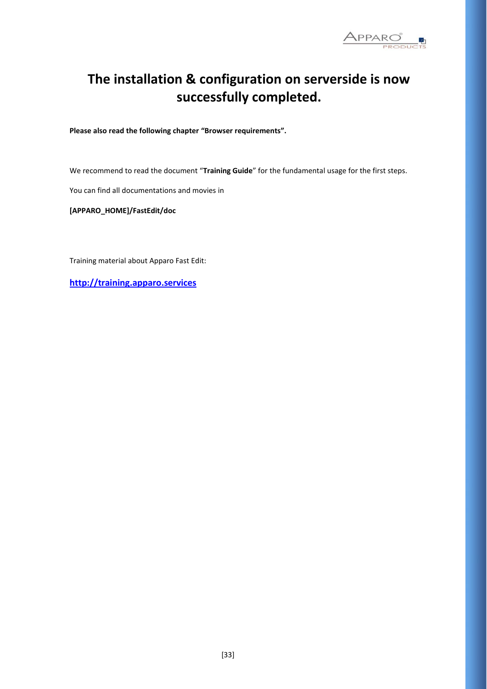

# **The installation & configuration on serverside is now successfully completed.**

**Please also read the following chapter "Browser requirements".**

We recommend to read the document "**Training Guide**" for the fundamental usage for the first steps.

You can find all documentations and movies in

**[APPARO\_HOME]/FastEdit/doc**

Training material about Apparo Fast Edit:

**[http://training.apparo.services](http://training.apparo.services/)**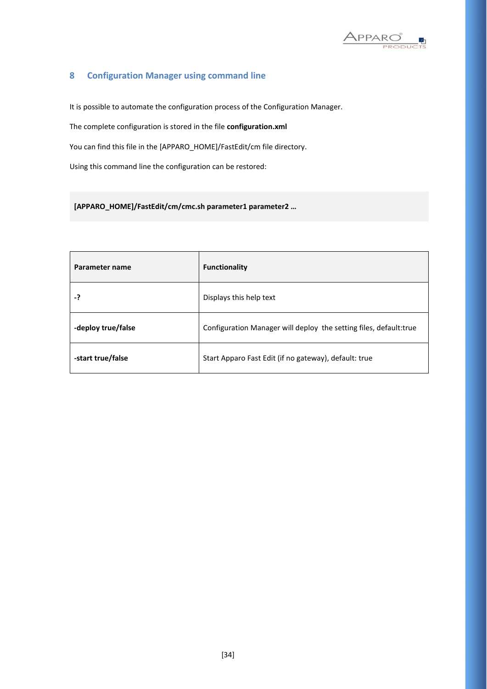

### **8 Configuration Manager using command line**

It is possible to automate the configuration process of the Configuration Manager.

The complete configuration is stored in the file **configuration.xml**

You can find this file in the [APPARO\_HOME]/FastEdit/cm file directory.

Using this command line the configuration can be restored:

**[APPARO\_HOME]/FastEdit/cm/cmc.sh parameter1 parameter2 …**

| Parameter name     | <b>Functionality</b>                                               |  |
|--------------------|--------------------------------------------------------------------|--|
| -?                 | Displays this help text                                            |  |
| -deploy true/false | Configuration Manager will deploy the setting files, default: true |  |
| -start true/false  | Start Apparo Fast Edit (if no gateway), default: true              |  |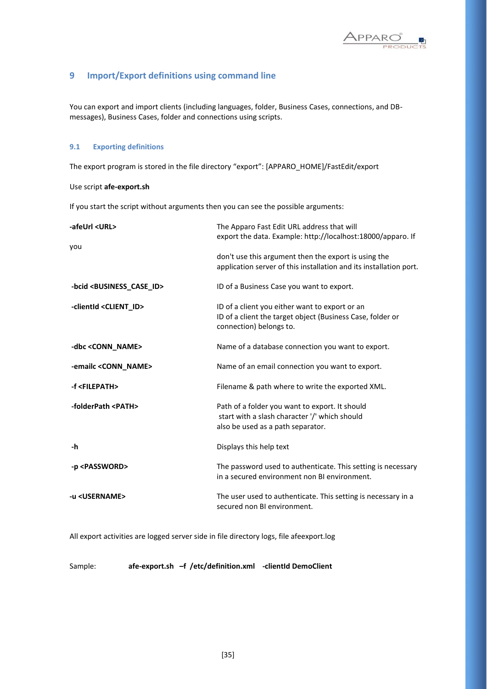

### **9 Import/Export definitions using command line**

You can export and import clients (including languages, folder, Business Cases, connections, and DBmessages), Business Cases, folder and connections using scripts.

### **9.1 Exporting definitions**

The export program is stored in the file directory "export": [APPARO\_HOME]/FastEdit/export

### Use script **afe-export.sh**

If you start the script without arguments then you can see the possible arguments:

| -afeUrl <url></url>                         | The Apparo Fast Edit URL address that will<br>export the data. Example: http://localhost:18000/apparo. If                               |  |
|---------------------------------------------|-----------------------------------------------------------------------------------------------------------------------------------------|--|
| you                                         |                                                                                                                                         |  |
|                                             | don't use this argument then the export is using the<br>application server of this installation and its installation port.              |  |
| -bcid <business_case_id></business_case_id> | ID of a Business Case you want to export.                                                                                               |  |
| -clientId <client_id></client_id>           | ID of a client you either want to export or an<br>ID of a client the target object (Business Case, folder or<br>connection) belongs to. |  |
| -dbc <conn_name></conn_name>                | Name of a database connection you want to export.                                                                                       |  |
| -emailc <conn_name></conn_name>             | Name of an email connection you want to export.                                                                                         |  |
| -f <filepath></filepath>                    | Filename & path where to write the exported XML.                                                                                        |  |
| -folderPath <path></path>                   | Path of a folder you want to export. It should<br>start with a slash character '/' which should<br>also be used as a path separator.    |  |
| -h                                          | Displays this help text                                                                                                                 |  |
| -p <password></password>                    | The password used to authenticate. This setting is necessary<br>in a secured environment non BI environment.                            |  |
| -u <username></username>                    | The user used to authenticate. This setting is necessary in a<br>secured non BI environment.                                            |  |

All export activities are logged server side in file directory logs, file afeexport.log

Sample: **afe-export.sh –f /etc/definition.xml -clientId DemoClient**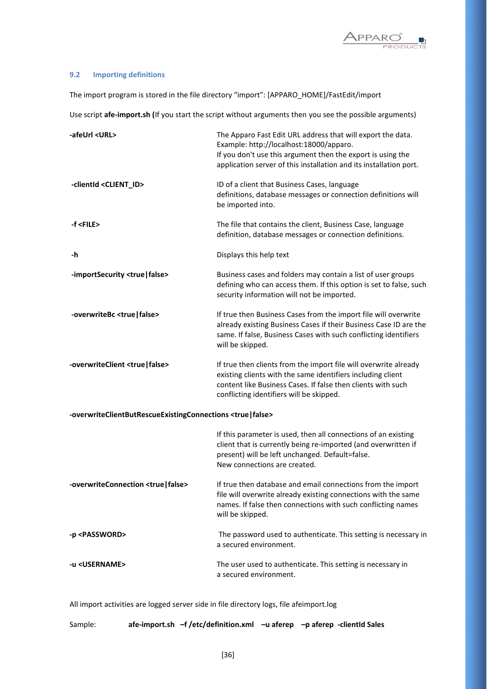

### **9.2 Importing definitions**

The import program is stored in the file directory "import": [APPARO\_HOME]/FastEdit/import

Use script **afe-import.sh (**If you start the script without arguments then you see the possible arguments)

| -afeUrl <url></url>                                                      | The Apparo Fast Edit URL address that will export the data.<br>Example: http://localhost:18000/apparo.<br>If you don't use this argument then the export is using the<br>application server of this installation and its installation port. |
|--------------------------------------------------------------------------|---------------------------------------------------------------------------------------------------------------------------------------------------------------------------------------------------------------------------------------------|
| -clientId <client_id></client_id>                                        | ID of a client that Business Cases, language<br>definitions, database messages or connection definitions will<br>be imported into.                                                                                                          |
| -f <file></file>                                                         | The file that contains the client, Business Case, language<br>definition, database messages or connection definitions.                                                                                                                      |
| -h                                                                       | Displays this help text                                                                                                                                                                                                                     |
| -importSecurity <true false=""  =""></true>                              | Business cases and folders may contain a list of user groups<br>defining who can access them. If this option is set to false, such<br>security information will not be imported.                                                            |
| -overwriteBc <true false=""  =""></true>                                 | If true then Business Cases from the import file will overwrite<br>already existing Business Cases if their Business Case ID are the<br>same. If false, Business Cases with such conflicting identifiers<br>will be skipped.                |
| -overwriteClient <true false=""  =""></true>                             | If true then clients from the import file will overwrite already<br>existing clients with the same identifiers including client<br>content like Business Cases. If false then clients with such<br>conflicting identifiers will be skipped. |
| -overwriteClientButRescueExistingConnections <true false=""  =""></true> |                                                                                                                                                                                                                                             |
|                                                                          | If this parameter is used, then all connections of an existing<br>client that is currently being re-imported (and overwritten if<br>present) will be left unchanged. Default=false.<br>New connections are created.                         |
| -overwriteConnection <true false=""  =""></true>                         | If true then database and email connections from the import<br>file will overwrite already existing connections with the same<br>names. If false then connections with such conflicting names<br>will be skipped.                           |
| -p <password></password>                                                 | The password used to authenticate. This setting is necessary in<br>a secured environment.                                                                                                                                                   |
| -u <username></username>                                                 | The user used to authenticate. This setting is necessary in<br>a secured environment.                                                                                                                                                       |
|                                                                          |                                                                                                                                                                                                                                             |

All import activities are logged server side in file directory logs, file afeimport.log

Sample: **afe-import.sh –f /etc/definition.xml –u aferep –p aferep -clientId Sales**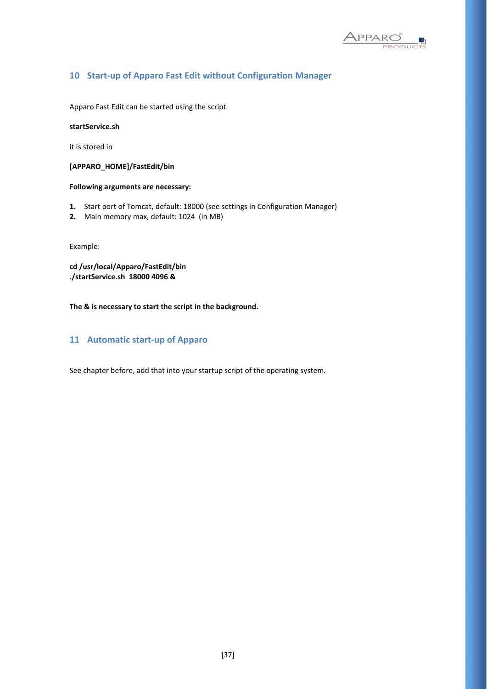

### **10 Start-up of Apparo Fast Edit without Configuration Manager**

Apparo Fast Edit can be started using the script

**startService.sh** 

it is stored in

**[APPARO\_HOME]/FastEdit/bin**

### **Following arguments are necessary:**

- **1.** Start port of Tomcat, default: 18000 (see settings in Configuration Manager)
- **2.** Main memory max, default: 1024 (in MB)

Example:

**cd /usr/local/Apparo/FastEdit/bin ./startService.sh 18000 4096 &**

**The & is necessary to start the script in the background.**

### **11 Automatic start-up of Apparo**

See chapter before, add that into your startup script of the operating system.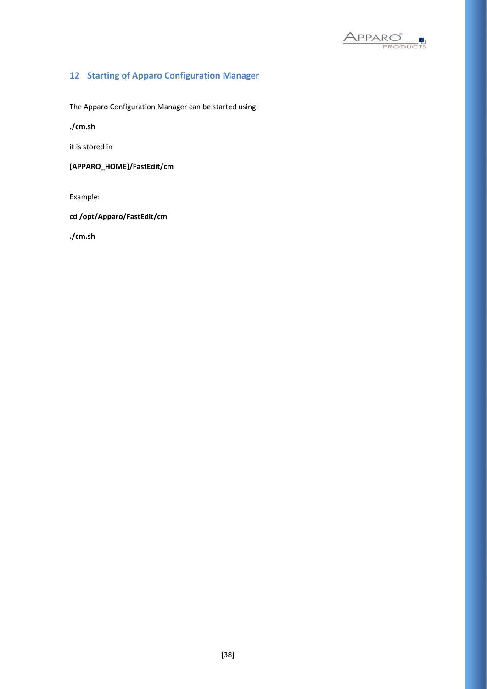

### **12 Starting of Apparo Configuration Manager**

The Apparo Configuration Manager can be started using:

**./cm.sh** 

it is stored in

**[APPARO\_HOME]/FastEdit/cm**

Example:

**cd /opt/Apparo/FastEdit/cm**

**./cm.sh**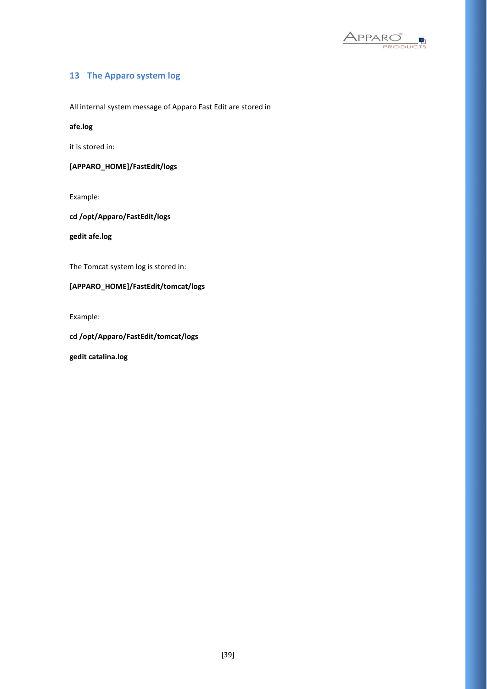

### **13 The Apparo system log**

All internal system message of Apparo Fast Edit are stored in

**afe.log** 

it is stored in:

**[APPARO\_HOME]/FastEdit/logs**

Example:

**cd /opt/Apparo/FastEdit/logs**

**gedit afe.log**

The Tomcat system log is stored in:

### **[APPARO\_HOME]/FastEdit/tomcat/logs**

Example:

**cd /opt/Apparo/FastEdit/tomcat/logs**

**gedit catalina.log**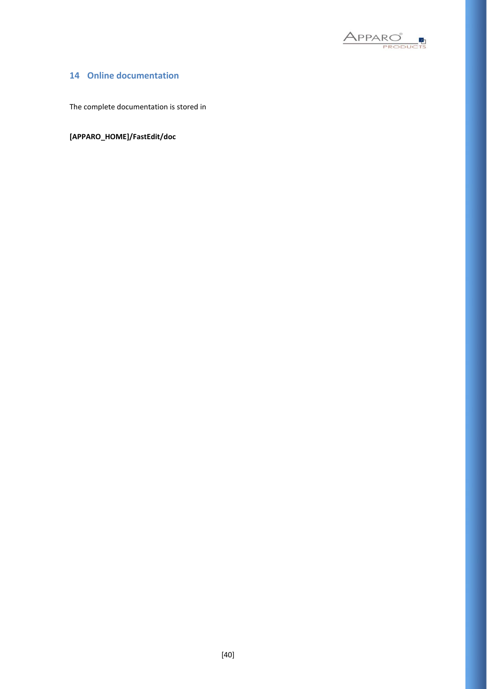

### **14 Online documentation**

The complete documentation is stored in

**[APPARO\_HOME]/FastEdit/doc**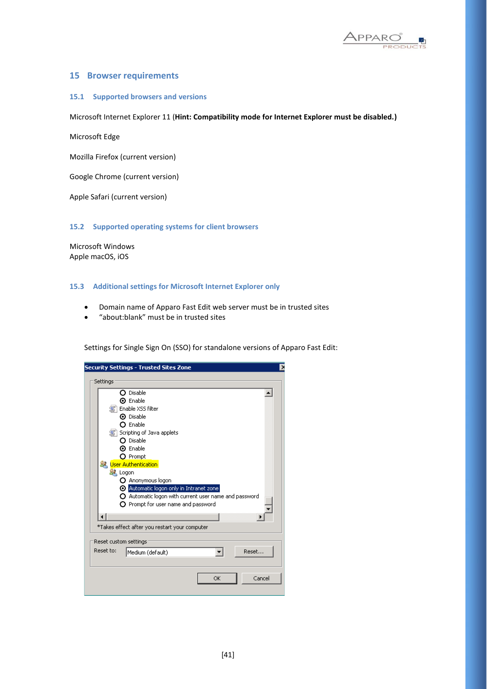

### **15 Browser requirements**

### **15.1 Supported browsers and versions**

Microsoft Internet Explorer 11 (**Hint: Compatibility mode for Internet Explorer must be disabled.)**

Microsoft Edge

Mozilla Firefox (current version)

Google Chrome (current version)

Apple Safari (current version)

**15.2 Supported operating systems for client browsers**

Microsoft Windows Apple macOS, iOS

#### **15.3 Additional settings for Microsoft Internet Explorer only**

- Domain name of Apparo Fast Edit web server must be in trusted sites
- "about:blank" must be in trusted sites

Settings for Single Sign On (SSO) for standalone versions of Apparo Fast Edit:

| <b>Security Settings - Trusted Sites Zone</b><br>$\lambda$     |
|----------------------------------------------------------------|
|                                                                |
| Settings                                                       |
| O Disable                                                      |
| ⊙ Enable                                                       |
| Enable XSS filter                                              |
| ⊙ Disable                                                      |
| $\Omega$ Enable                                                |
| 氢 Scripting of Java applets                                    |
| $\Omega$ Disable                                               |
| <b>O</b> Enable                                                |
| O Prompt                                                       |
| <u>線</u> User Authentication                                   |
| <b>SA</b> Logon                                                |
| O Anonymous logon                                              |
| Automatic logon only in Intranet zone                          |
| $\bigcirc$ Automatic logon with current user name and password |
| $\Omega$ Prompt for user name and password                     |
|                                                                |
|                                                                |
| *Takes effect after you restart your computer                  |
| Reset custom settings                                          |
| Reset to:<br>Reset                                             |
| Medium (default)                                               |
|                                                                |
|                                                                |
| Cancel<br>OK                                                   |
|                                                                |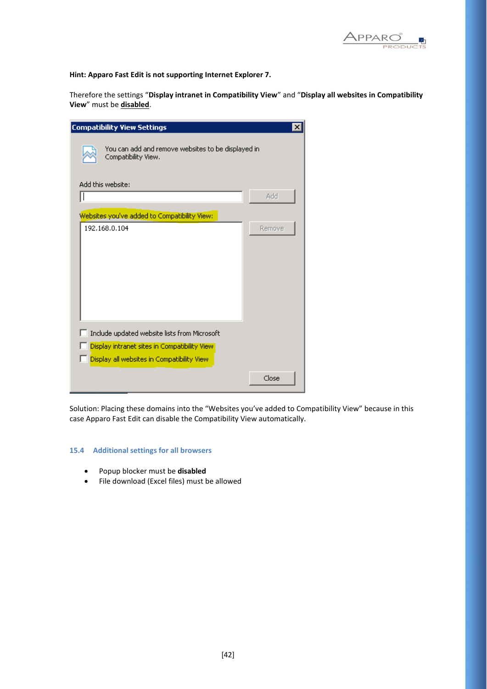

**Hint: Apparo Fast Edit is not supporting Internet Explorer 7.**

Therefore the settings "**Display intranet in Compatibility View**" and "**Display all websites in Compatibility View**" must be **disabled**.

| <b>Compatibility View Settings</b>                                                          |        |  |  |  |
|---------------------------------------------------------------------------------------------|--------|--|--|--|
| You can add and remove websites to be displayed in<br>Compatibility View.                   |        |  |  |  |
| Add this website:                                                                           | Add    |  |  |  |
| Websites you've added to Compatibility View:                                                |        |  |  |  |
| 192.168.0.104                                                                               | Remove |  |  |  |
|                                                                                             |        |  |  |  |
|                                                                                             |        |  |  |  |
|                                                                                             |        |  |  |  |
| Include updated website lists from Microsoft                                                |        |  |  |  |
| Display intranet sites in Compatibility View.<br>Display all websites in Compatibility View |        |  |  |  |
|                                                                                             | Close  |  |  |  |

Solution: Placing these domains into the "Websites you've added to Compatibility View" because in this case Apparo Fast Edit can disable the Compatibility View automatically.

### **15.4 Additional settings for all browsers**

- Popup blocker must be **disabled**
- File download (Excel files) must be allowed